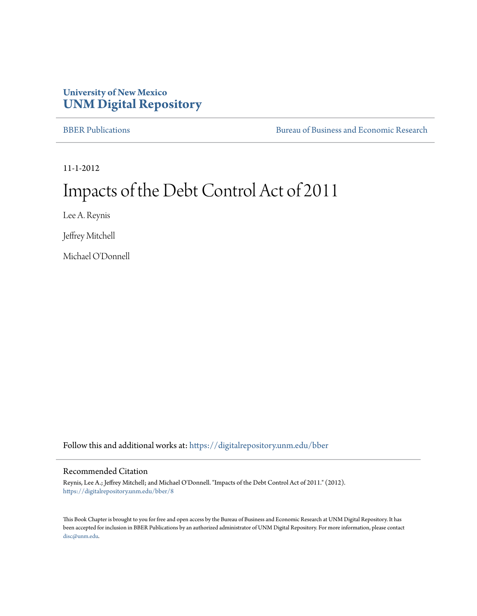# **University of New Mexico [UNM Digital Repository](https://digitalrepository.unm.edu?utm_source=digitalrepository.unm.edu%2Fbber%2F8&utm_medium=PDF&utm_campaign=PDFCoverPages)**

[BBER Publications](https://digitalrepository.unm.edu/bber?utm_source=digitalrepository.unm.edu%2Fbber%2F8&utm_medium=PDF&utm_campaign=PDFCoverPages) [Bureau of Business and Economic Research](https://digitalrepository.unm.edu/business_economic_research?utm_source=digitalrepository.unm.edu%2Fbber%2F8&utm_medium=PDF&utm_campaign=PDFCoverPages)

11-1-2012

# Impacts of the Debt Control Act of 2011

Lee A. Reynis

Jeffrey Mitchell

Michael O'Donnell

Follow this and additional works at: [https://digitalrepository.unm.edu/bber](https://digitalrepository.unm.edu/bber?utm_source=digitalrepository.unm.edu%2Fbber%2F8&utm_medium=PDF&utm_campaign=PDFCoverPages)

#### Recommended Citation

Reynis, Lee A.; Jeffrey Mitchell; and Michael O'Donnell. "Impacts of the Debt Control Act of 2011." (2012). [https://digitalrepository.unm.edu/bber/8](https://digitalrepository.unm.edu/bber/8?utm_source=digitalrepository.unm.edu%2Fbber%2F8&utm_medium=PDF&utm_campaign=PDFCoverPages)

This Book Chapter is brought to you for free and open access by the Bureau of Business and Economic Research at UNM Digital Repository. It has been accepted for inclusion in BBER Publications by an authorized administrator of UNM Digital Repository. For more information, please contact [disc@unm.edu](mailto:disc@unm.edu).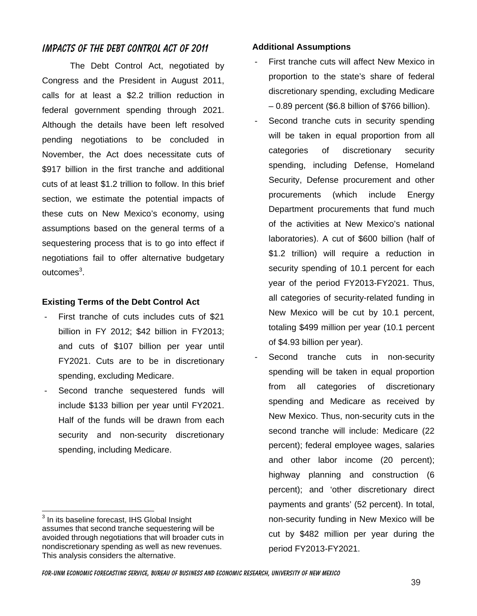# **IMPACTS OF THE DEBT CONTROL ACT OF 2011**

The Debt Control Act, negotiated by Congress and the President in August 2011, calls for at least a \$2.2 trillion reduction in federal government spending through 2021. Although the details have been left resolved pending negotiations to be concluded in November, the Act does necessitate cuts of \$917 billion in the first tranche and additional cuts of at least \$1.2 trillion to follow. In this brief section, we estimate the potential impacts of these cuts on New Mexico's economy, using assumptions based on the general terms of a sequestering process that is to go into effect if negotiations fail to offer alternative budgetary outcomes<sup>3</sup>.

# **Existing Terms of the Debt Control Act**

- First tranche of cuts includes cuts of \$21 billion in FY 2012; \$42 billion in FY2013; and cuts of \$107 billion per year until FY2021. Cuts are to be in discretionary spending, excluding Medicare.
- Second tranche sequestered funds will include \$133 billion per year until FY2021. Half of the funds will be drawn from each security and non-security discretionary spending, including Medicare.

 $\overline{a}$ 

### **Additional Assumptions**

- First tranche cuts will affect New Mexico in proportion to the state's share of federal discretionary spending, excluding Medicare – 0.89 percent (\$6.8 billion of \$766 billion).
- Second tranche cuts in security spending will be taken in equal proportion from all categories of discretionary security spending, including Defense, Homeland Security, Defense procurement and other procurements (which include Energy Department procurements that fund much of the activities at New Mexico's national laboratories). A cut of \$600 billion (half of \$1.2 trillion) will require a reduction in security spending of 10.1 percent for each year of the period FY2013-FY2021. Thus, all categories of security-related funding in New Mexico will be cut by 10.1 percent, totaling \$499 million per year (10.1 percent of \$4.93 billion per year).
- Second tranche cuts in non-security spending will be taken in equal proportion from all categories of discretionary spending and Medicare as received by New Mexico. Thus, non-security cuts in the second tranche will include: Medicare (22 percent); federal employee wages, salaries and other labor income (20 percent); highway planning and construction (6 percent); and 'other discretionary direct payments and grants' (52 percent). In total, non-security funding in New Mexico will be cut by \$482 million per year during the period FY2013-FY2021.

 $3$  In its baseline forecast, IHS Global Insight assumes that second tranche sequestering will be avoided through negotiations that will broader cuts in nondiscretionary spending as well as new revenues. This analysis considers the alternative.

**For-unm economic forecasting service, bureau of business and economic research, university of new Mexico**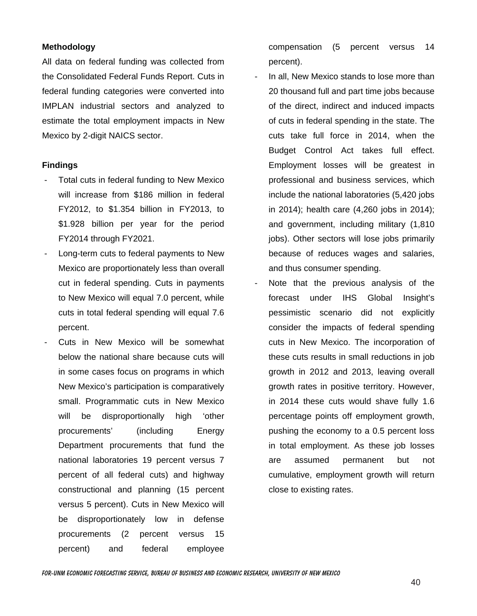## **Methodology**

All data on federal funding was collected from the Consolidated Federal Funds Report. Cuts in federal funding categories were converted into IMPLAN industrial sectors and analyzed to estimate the total employment impacts in New Mexico by 2-digit NAICS sector.

#### **Findings**

- Total cuts in federal funding to New Mexico will increase from \$186 million in federal FY2012, to \$1.354 billion in FY2013, to \$1.928 billion per year for the period FY2014 through FY2021.
- Long-term cuts to federal payments to New Mexico are proportionately less than overall cut in federal spending. Cuts in payments to New Mexico will equal 7.0 percent, while cuts in total federal spending will equal 7.6 percent.
- Cuts in New Mexico will be somewhat below the national share because cuts will in some cases focus on programs in which New Mexico's participation is comparatively small. Programmatic cuts in New Mexico will be disproportionally high 'other procurements' (including Energy Department procurements that fund the national laboratories 19 percent versus 7 percent of all federal cuts) and highway constructional and planning (15 percent versus 5 percent). Cuts in New Mexico will be disproportionately low in defense procurements (2 percent versus 15 percent) and federal employee

compensation (5 percent versus 14 percent).

- In all, New Mexico stands to lose more than 20 thousand full and part time jobs because of the direct, indirect and induced impacts of cuts in federal spending in the state. The cuts take full force in 2014, when the Budget Control Act takes full effect. Employment losses will be greatest in professional and business services, which include the national laboratories (5,420 jobs in 2014); health care (4,260 jobs in 2014); and government, including military (1,810 jobs). Other sectors will lose jobs primarily because of reduces wages and salaries, and thus consumer spending.
- Note that the previous analysis of the forecast under IHS Global Insight's pessimistic scenario did not explicitly consider the impacts of federal spending cuts in New Mexico. The incorporation of these cuts results in small reductions in job growth in 2012 and 2013, leaving overall growth rates in positive territory. However, in 2014 these cuts would shave fully 1.6 percentage points off employment growth, pushing the economy to a 0.5 percent loss in total employment. As these job losses are assumed permanent but not cumulative, employment growth will return close to existing rates.